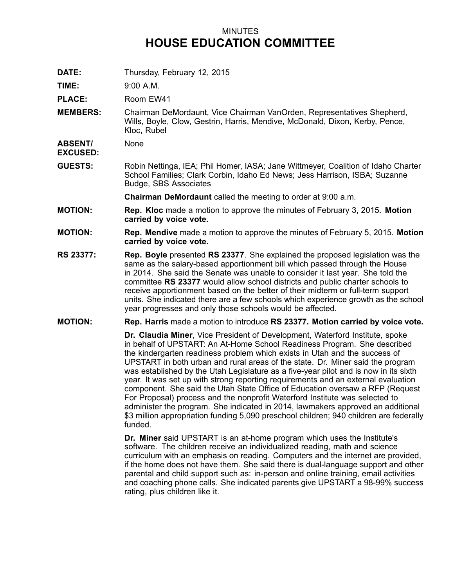## MINUTES **HOUSE EDUCATION COMMITTEE**

**DATE:** Thursday, February 12, 2015

**TIME:** 9:00 A.M.

PLACE: Room EW41

**MEMBERS:** Chairman DeMordaunt, Vice Chairman VanOrden, Representatives Shepherd, Wills, Boyle, Clow, Gestrin, Harris, Mendive, McDonald, Dixon, Kerby, Pence, Kloc, Rubel

**ABSENT/** None

**EXCUSED:**

**GUESTS:** Robin Nettinga, IEA; Phil Homer, IASA; Jane Wittmeyer, Coalition of Idaho Charter School Families; Clark Corbin, Idaho Ed News; Jess Harrison, ISBA; Suzanne Budge, SBS Associates

**Chairman DeMordaunt** called the meeting to order at 9:00 a.m.

- **MOTION: Rep. Kloc** made <sup>a</sup> motion to approve the minutes of February 3, 2015. **Motion carried by voice vote.**
- **MOTION: Rep. Mendive** made <sup>a</sup> motion to approve the minutes of February 5, 2015. **Motion carried by voice vote.**
- **RS 23377: Rep. Boyle** presented **RS 23377**. She explained the proposed legislation was the same as the salary-based apportionment bill which passed through the House in 2014. She said the Senate was unable to consider it last year. She told the committee **RS 23377** would allow school districts and public charter schools to receive apportionment based on the better of their midterm or full-term support units. She indicated there are <sup>a</sup> few schools which experience growth as the school year progresses and only those schools would be affected.
- **MOTION: Rep. Harris** made <sup>a</sup> motion to introduce **RS 23377. Motion carried by voice vote.**

**Dr. Claudia Miner**, Vice President of Development, Waterford Institute, spoke in behalf of UPSTART: An At-Home School Readiness Program. She described the kindergarten readiness problem which exists in Utah and the success of UPSTART in both urban and rural areas of the state. Dr. Miner said the program was established by the Utah Legislature as <sup>a</sup> five-year pilot and is now in its sixth year. It was set up with strong reporting requirements and an external evaluation component. She said the Utah State Office of Education oversaw <sup>a</sup> RFP (Request For Proposal) process and the nonprofit Waterford Institute was selected to administer the program. She indicated in 2014, lawmakers approved an additional \$3 million appropriation funding 5,090 preschool children; 940 children are federally funded.

**Dr. Miner** said UPSTART is an at-home program which uses the Institute's software. The children receive an individualized reading, math and science curriculum with an emphasis on reading. Computers and the internet are provided, if the home does not have them. She said there is dual-language support and other parental and child support such as: in-person and online training, email activities and coaching phone calls. She indicated parents give UPSTART <sup>a</sup> 98-99% success rating, plus children like it.